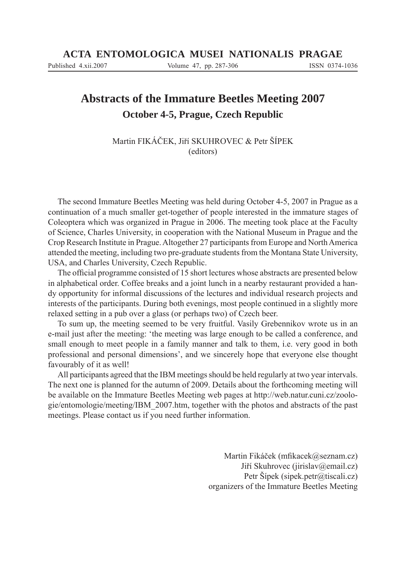# **Abstracts of the Immature Beetles Meeting 2007 October 4-5, Prague, Czech Republic**

Martin FIKÁČEK, Jiří SKUHROVEC & Petr ŠÍPEK (editors)

The second Immature Beetles Meeting was held during October 4-5, 2007 in Prague as a continuation of a much smaller get-together of people interested in the immature stages of Coleoptera which was organized in Prague in 2006. The meeting took place at the Faculty of Science, Charles University, in cooperation with the National Museum in Prague and the Crop Research Institute in Prague. Altogether 27 participants from Europe and North America attended the meeting, including two pre-graduate students from the Montana State University, USA, and Charles University, Czech Republic.

The official programme consisted of 15 short lectures whose abstracts are presented below in alphabetical order. Coffee breaks and a joint lunch in a nearby restaurant provided a handy opportunity for informal discussions of the lectures and individual research projects and interests of the participants. During both evenings, most people continued in a slightly more relaxed setting in a pub over a glass (or perhaps two) of Czech beer.

To sum up, the meeting seemed to be very fruitful. Vasily Grebennikov wrote us in an e-mail just after the meeting: 'the meeting was large enough to be called a conference, and small enough to meet people in a family manner and talk to them, i.e. very good in both professional and personal dimensions', and we sincerely hope that everyone else thought favourably of it as well!

All participants agreed that the IBM meetings should be held regularly at two year intervals. The next one is planned for the autumn of 2009. Details about the forthcoming meeting will be available on the Immature Beetles Meeting web pages at http://web.natur.cuni.cz/zoologie/entomologie/meeting/IBM\_2007.htm, together with the photos and abstracts of the past meetings. Please contact us if you need further information.

> Martin Fikáček (mfikacek@seznam.cz) Jiří Skuhrovec (jirislav@email.cz) Petr Šípek (sipek.petr@tiscali.cz) organizers of the Immature Beetles Meeting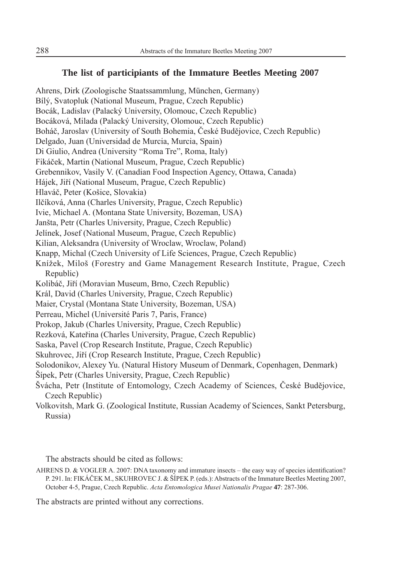# **The list of participiants of the Immature Beetles Meeting 2007**

Ahrens, Dirk (Zoologische Staatssammlung, München, Germany) Bílý, Svatopluk (National Museum, Prague, Czech Republic) Bocák, Ladislav (Palacký University, Olomouc, Czech Republic) Bocáková, Milada (Palacký University, Olomouc, Czech Republic) Boháč, Jaroslav (University of South Bohemia, České Budějovice, Czech Republic) Delgado, Juan (Universidad de Murcia, Murcia, Spain) Di Giulio, Andrea (University "Roma Tre", Roma, Italy) Fikáček, Martin (National Museum, Prague, Czech Republic) Grebennikov, Vasily V. (Canadian Food Inspection Agency, Ottawa, Canada) Hájek, Jiří (National Museum, Prague, Czech Republic) Hlaváč, Peter (Košice, Slovakia) Ilčíková, Anna (Charles University, Prague, Czech Republic) Ivie, Michael A. (Montana State University, Bozeman, USA) Janšta, Petr (Charles University, Prague, Czech Republic) Jelínek, Josef (National Museum, Prague, Czech Republic) Kilian, Aleksandra (University of Wroclaw, Wroclaw, Poland) Knapp, Michal (Czech University of Life Sciences, Prague, Czech Republic) Knížek, Miloš (Forestry and Game Management Research Institute, Prague, Czech Republic) Kolibáč, Jiří (Moravian Museum, Brno, Czech Republic) Král, David (Charles University, Prague, Czech Republic) Maier, Crystal (Montana State University, Bozeman, USA) Perreau, Michel (Université Paris 7, Paris, France) Prokop, Jakub (Charles University, Prague, Czech Republic) Rezková, Kateřina (Charles University, Prague, Czech Republic) Saska, Pavel (Crop Research Institute, Prague, Czech Republic) Skuhrovec, Jiří (Crop Research Institute, Prague, Czech Republic) Solodonikov, Alexey Yu. (Natural History Museum of Denmark, Copenhagen, Denmark) Šípek, Petr (Charles University, Prague, Czech Republic) Švácha, Petr (Institute of Entomology, Czech Academy of Sciences, České Budějovice, Czech Republic)

Volkovitsh, Mark G. (Zoological Institute, Russian Academy of Sciences, Sankt Petersburg, Russia)

The abstracts should be cited as follows:

AHRENS D. & VOGLER A. 2007: DNA taxonomy and immature insects – the easy way of species identification? P. 291. In: FIKÁČEK M., SKUHROVEC J. & ŠÍPEK P. (eds.): Abstracts of the Immature Beetles Meeting 2007, October 4-5, Prague, Czech Republic. *Acta Entomologica Musei Nationalis Pragae* **47**: 287-306.

The abstracts are printed without any corrections.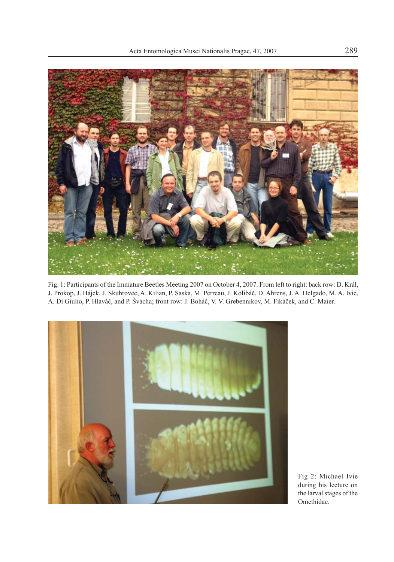

Fig. 1: Participants of the Immature Beetles Meeting 2007 on October 4, 2007. From left to right: back row: D. Král, J. Prokop, J. Hájek, J. Skuhrovec, A. Kilian, P. Saska, M. Perreau, J. Kolibáč, D. Ahrens, J. A. Delgado, M. A. Ivie, A. Di Giulio, P. Hlaváč, and P. Švácha; front row: J. Boháč, V. V. Grebennikov, M. Fikáček, and C. Maier.



Fig 2: Michael Ivie during his lecture on the larval stages of the Omethidae.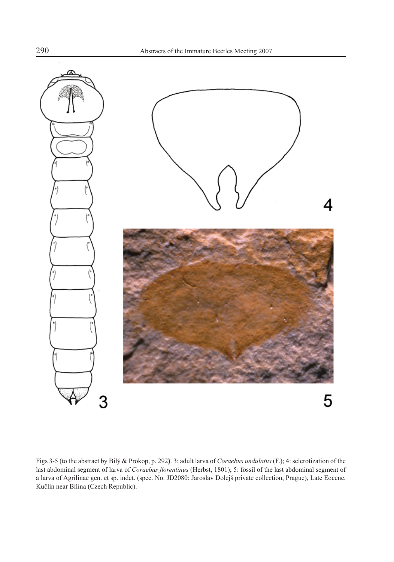

Figs 3-5 (to the abstract by Bílý & Prokop, p. 292**)**. 3: adult larva of *Coraebus undulatus* (F.); 4: sclerotization of the last abdominal segment of larva of *Coraebus florentinus* (Herbst, 1801); 5: fossil of the last abdominal segment of a larva of Agrilinae gen. et sp. indet. (spec. No. JD2080: Jaroslav Dolejš private collection, Prague), Late Eocene, Kučlín near Bílina (Czech Republic).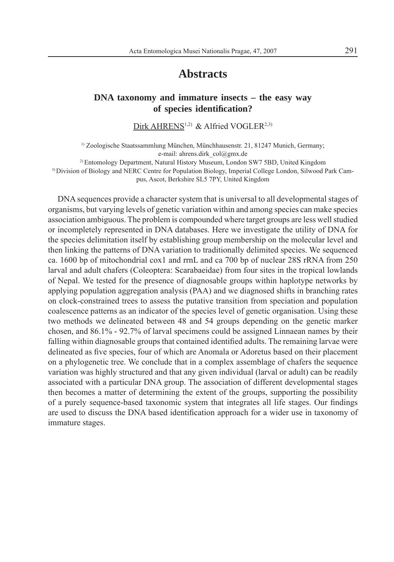# **Abstracts**

# **DNA taxonomy and immature insects – the easy way of species identifi cation?**

Dirk AHRENS<sup>1,2)</sup> & Alfried VOGLER<sup>2,3)</sup>

<sup>1)</sup> Zoologische Staatssammlung München, Münchhausenstr. 21, 81247 Munich, Germany; e-mail: ahrens.dirk\_col@gmx.de

2) Entomology Department, Natural History Museum, London SW7 5BD, United Kingdom

3) Division of Biology and NERC Centre for Population Biology, Imperial College London, Silwood Park Cam-

pus, Ascot, Berkshire SL5 7PY, United Kingdom

DNA sequences provide a character system that is universal to all developmental stages of organisms, but varying levels of genetic variation within and among species can make species association ambiguous. The problem is compounded where target groups are less well studied or incompletely represented in DNA databases. Here we investigate the utility of DNA for the species delimitation itself by establishing group membership on the molecular level and then linking the patterns of DNA variation to traditionally delimited species. We sequenced ca. 1600 bp of mitochondrial cox1 and rrnL and ca 700 bp of nuclear 28S rRNA from 250 larval and adult chafers (Coleoptera: Scarabaeidae) from four sites in the tropical lowlands of Nepal. We tested for the presence of diagnosable groups within haplotype networks by applying population aggregation analysis (PAA) and we diagnosed shifts in branching rates on clock-constrained trees to assess the putative transition from speciation and population coalescence patterns as an indicator of the species level of genetic organisation. Using these two methods we delineated between 48 and 54 groups depending on the genetic marker chosen, and 86.1% - 92.7% of larval specimens could be assigned Linnaean names by their falling within diagnosable groups that contained identified adults. The remaining larvae were delineated as five species, four of which are Anomala or Adoretus based on their placement on a phylogenetic tree. We conclude that in a complex assemblage of chafers the sequence variation was highly structured and that any given individual (larval or adult) can be readily associated with a particular DNA group. The association of different developmental stages then becomes a matter of determining the extent of the groups, supporting the possibility of a purely sequence-based taxonomic system that integrates all life stages. Our findings are used to discuss the DNA based identification approach for a wider use in taxonomy of immature stages.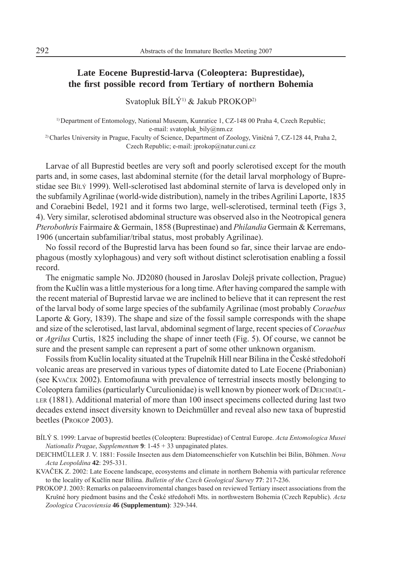# **Late Eocene Buprestid-larva (Coleoptera: Buprestidae), the fi rst possible record from Tertiary of northern Bohemia**

Svatopluk BÍLÝ1) & Jakub PROKOP2)

<sup>1)</sup> Department of Entomology, National Museum, Kunratice 1, CZ-148 00 Praha 4, Czech Republic; e-mail: svatopluk\_bily@nm.cz <sup>2)</sup> Charles University in Prague, Faculty of Science, Department of Zoology, Viničná 7, CZ-128 44, Praha 2,

Czech Republic; e-mail: jprokop@natur.cuni.cz

Larvae of all Buprestid beetles are very soft and poorly sclerotised except for the mouth parts and, in some cases, last abdominal sternite (for the detail larval morphology of Buprestidae see BÍLÝ 1999). Well-sclerotised last abdominal sternite of larva is developed only in the subfamily Agrilinae (world-wide distribution), namely in the tribes Agrilini Laporte, 1835 and Coraebini Bedel, 1921 and it forms two large, well-sclerotised, terminal teeth (Figs 3, 4). Very similar, sclerotised abdominal structure was observed also in the Neotropical genera *Pterobothris* Fairmaire & Germain, 1858 (Buprestinae) and *Philandia* Germain & Kerremans, 1906 (uncertain subfamiliar/tribal status, most probably Agrilinae).

No fossil record of the Buprestid larva has been found so far, since their larvae are endophagous (mostly xylophagous) and very soft without distinct sclerotisation enabling a fossil record.

The enigmatic sample No. JD2080 (housed in Jaroslav Dolejš private collection, Prague) from the Kučlín was a little mysterious for a long time. After having compared the sample with the recent material of Buprestid larvae we are inclined to believe that it can represent the rest of the larval body of some large species of the subfamily Agrilinae (most probably *Coraebus*  Laporte  $\&$  Gory, 1839). The shape and size of the fossil sample corresponds with the shape and size of the sclerotised, last larval, abdominal segment of large, recent species of *Coraebus* or *Agrilus* Curtis, 1825 including the shape of inner teeth (Fig. 5). Of course, we cannot be sure and the present sample can represent a part of some other unknown organism.

Fossils from Kučlín locality situated at the Trupelník Hill near Bílina in the České středohoří volcanic areas are preserved in various types of diatomite dated to Late Eocene (Priabonian) (see KVAČEK 2002). Entomofauna with prevalence of terrestrial insects mostly belonging to Coleoptera families (particularly Curculionidae) is well known by pioneer work of DEICHMÜL-LER (1881). Additional material of more than 100 insect specimens collected during last two decades extend insect diversity known to Deichmüller and reveal also new taxa of buprestid beetles (PROKOP 2003).

- BÍLÝ S. 1999: Larvae of buprestid beetles (Coleoptera: Buprestidae) of Central Europe. *Acta Entomologica Musei Nationalis Pragae*, *Supplementum* **9**: 1-45 + 33 unpaginated plates.
- DEICHMÜLLER J. V. 1881: Fossile Insecten aus dem Diatomeenschiefer von Kutschlin bei Bilin, Böhmen. *Nova Acta Leopoldina* **42**: 295-331.
- KVAČEK Z. 2002: Late Eocene landscape, ecosystems and climate in northern Bohemia with particular reference to the locality of Kučlín near Bílina. *Bulletin of the Czech Geological Survey* **77**: 217-236.
- PROKOP J. 2003: Remarks on palaeoenviromental changes based on reviewed Tertiary insect associations from the Krušné hory piedmont basins and the České středohoří Mts. in northwestern Bohemia (Czech Republic). *Acta Zoologica Cracoviensia* **46 (Supplementum)**: 329-344.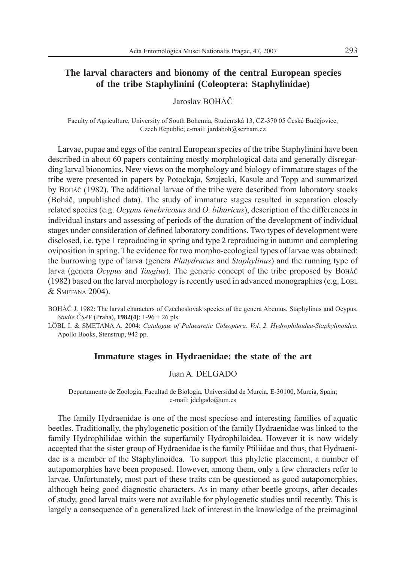# **The larval characters and bionomy of the central European species of the tribe Staphylinini (Coleoptera: Staphylinidae)**

Jaroslav BOHÁČ

Faculty of Agriculture, University of South Bohemia, Studentská 13, CZ-370 05 České Budějovice, Czech Republic; e-mail: jardaboh@seznam.cz

Larvae, pupae and eggs of the central European species of the tribe Staphylinini have been described in about 60 papers containing mostly morphological data and generally disregarding larval bionomics. New views on the morphology and biology of immature stages of the tribe were presented in papers by Potockaja, Szujecki, Kasule and Topp and summarized by BOHÁČ (1982). The additional larvae of the tribe were described from laboratory stocks (Boháč, unpublished data). The study of immature stages resulted in separation closely related species (e.g. *Ocypus tenebricosus* and *O. biharicus*), description of the differences in individual instars and assessing of periods of the duration of the development of individual stages under consideration of defined laboratory conditions. Two types of development were disclosed, i.e. type 1 reproducing in spring and type 2 reproducing in autumn and completing oviposition in spring. The evidence for two morpho-ecological types of larvae was obtained: the burrowing type of larva (genera *Platydracus* and *Staphylinus*) and the running type of larva (genera *Ocypus* and *Tasgius*). The generic concept of the tribe proposed by BOHÁ<sup>Č</sup> (1982) based on the larval morphology is recently used in advanced monographies (e.g. LÖBL & SMETANA 2004).

BOHÁČ J. 1982: The larval characters of Czechoslovak species of the genera Abemus, Staphylinus and Ocypus. *Studie ČSAV* (Praha), **1982(4)**: 1-96 + 26 pls.

LÖBL I. & SMETANA A. 2004: *Catalogue of Palaearctic Coleoptera*. *Vol. 2. Hydrophiloidea-Staphylinoidea.* Apollo Books, Stenstrup, 942 pp.

#### **Immature stages in Hydraenidae: the state of the art**

#### Juan A. DELGADO

Departamento de Zoologia, Facultad de Biologia, Universidad de Murcia, E-30100, Murcia, Spain; e-mail: jdelgado@um.es

The family Hydraenidae is one of the most speciose and interesting families of aquatic beetles. Traditionally, the phylogenetic position of the family Hydraenidae was linked to the family Hydrophilidae within the superfamily Hydrophiloidea. However it is now widely accepted that the sister group of Hydraenidae is the family Ptiliidae and thus, that Hydraenidae is a member of the Staphylinoidea. To support this phyletic placement, a number of autapomorphies have been proposed. However, among them, only a few characters refer to larvae. Unfortunately, most part of these traits can be questioned as good autapomorphies, although being good diagnostic characters. As in many other beetle groups, after decades of study, good larval traits were not available for phylogenetic studies until recently. This is largely a consequence of a generalized lack of interest in the knowledge of the preimaginal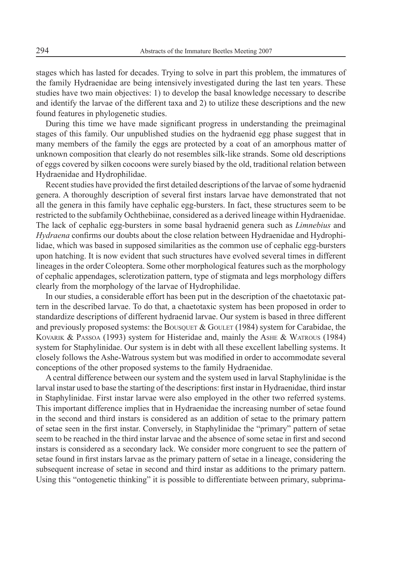stages which has lasted for decades. Trying to solve in part this problem, the immatures of the family Hydraenidae are being intensively investigated during the last ten years. These studies have two main objectives: 1) to develop the basal knowledge necessary to describe and identify the larvae of the different taxa and 2) to utilize these descriptions and the new found features in phylogenetic studies.

During this time we have made significant progress in understanding the preimaginal stages of this family. Our unpublished studies on the hydraenid egg phase suggest that in many members of the family the eggs are protected by a coat of an amorphous matter of unknown composition that clearly do not resembles silk-like strands. Some old descriptions of eggs covered by silken cocoons were surely biased by the old, traditional relation between Hydraenidae and Hydrophilidae.

Recent studies have provided the first detailed descriptions of the larvae of some hydraenid genera. A thoroughly description of several first instars larvae have demonstrated that not all the genera in this family have cephalic egg-bursters. In fact, these structures seem to be restricted to the subfamily Ochthebiinae, considered as a derived lineage within Hydraenidae. The lack of cephalic egg-bursters in some basal hydraenid genera such as *Limnebius* and *Hydraena* confirms our doubts about the close relation between Hydraenidae and Hydrophilidae, which was based in supposed similarities as the common use of cephalic egg-bursters upon hatching. It is now evident that such structures have evolved several times in different lineages in the order Coleoptera. Some other morphological features such as the morphology of cephalic appendages, sclerotization pattern, type of stigmata and legs morphology differs clearly from the morphology of the larvae of Hydrophilidae.

In our studies, a considerable effort has been put in the description of the chaetotaxic pattern in the described larvae. To do that, a chaetotaxic system has been proposed in order to standardize descriptions of different hydraenid larvae. Our system is based in three different and previously proposed systems: the BOUSQUET  $\&$  GOULET (1984) system for Carabidae, the KOVARIK & PASSOA (1993) system for Histeridae and, mainly the ASHE & WATROUS (1984) system for Staphylinidae. Our system is in debt with all these excellent labelling systems. It closely follows the Ashe-Watrous system but was modified in order to accommodate several conceptions of the other proposed systems to the family Hydraenidae.

A central difference between our system and the system used in larval Staphylinidae is the larval instar used to base the starting of the descriptions: first instar in Hydraenidae, third instar in Staphylinidae. First instar larvae were also employed in the other two referred systems. This important difference implies that in Hydraenidae the increasing number of setae found in the second and third instars is considered as an addition of setae to the primary pattern of setae seen in the first instar. Conversely, in Staphylinidae the "primary" pattern of setae seem to be reached in the third instar larvae and the absence of some setae in first and second instars is considered as a secondary lack. We consider more congruent to see the pattern of setae found in first instars larvae as the primary pattern of setae in a lineage, considering the subsequent increase of setae in second and third instar as additions to the primary pattern. Using this "ontogenetic thinking" it is possible to differentiate between primary, subprima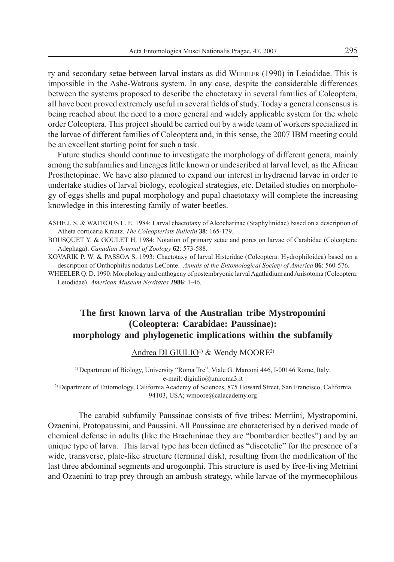ry and secondary setae between larval instars as did WHEELER (1990) in Leiodidae. This is impossible in the Ashe-Watrous system. In any case, despite the considerable differences between the systems proposed to describe the chaetotaxy in several families of Coleoptera, all have been proved extremely useful in several fields of study. Today a general consensus is being reached about the need to a more general and widely applicable system for the whole order Coleoptera. This project should be carried out by a wide team of workers specialized in the larvae of different families of Coleoptera and, in this sense, the 2007 IBM meeting could be an excellent starting point for such a task.

Future studies should continue to investigate the morphology of different genera, mainly among the subfamilies and lineages little known or undescribed at larval level, as the African Prosthetopinae. We have also planned to expand our interest in hydraenid larvae in order to undertake studies of larval biology, ecological strategies, etc. Detailed studies on morphology of eggs shells and pupal morphology and pupal chaetotaxy will complete the increasing knowledge in this interesting family of water beetles.

ASHE J. S. & WATROUS L. E. 1984: Larval chaetotaxy of Aleocharinae (Staphylinidae) based on a description of Atheta corticaria Kraatz. *The Coleopterists Bulletin* **38**: 165-179.

BOUSQUET Y. & GOULET H. 1984: Notation of primary setae and pores on larvae of Carabidae (Coleoptera: Adephaga). *Canadian Journal of Zoology* **62**: 573-588.

KOVARIK P. W. & PASSOA S. 1993: Chaetotaxy of larval Histeridae (Coleoptera: Hydrophiloidea) based on a description of Onthophilus nodatus LeConte. *Annals of the Entomological Society of America* **86**: 560-576.

WHEELER Q. D. 1990: Morphology and onthogeny of postembryonic larval Agathidium and Anisotoma (Coleoptera: Leiodidae). *American Museum Novitates* **2986**: 1-46.

# **The fi rst known larva of the Australian tribe Mystropomini (Coleoptera: Carabidae: Paussinae): morphology and phylogenetic implications within the subfamily**

Andrea DI GIULIO<sup>1)</sup> & Wendy MOORE<sup>2)</sup>

<sup>1)</sup> Department of Biology, University "Roma Tre", Viale G. Marconi 446, I-00146 Rome, Italy; e-mail: digiulio@uniroma3.it 2) Department of Entomology, California Academy of Sciences, 875 Howard Street, San Francisco, California 94103, USA; wmoore@calacademy.org

The carabid subfamily Paussinae consists of five tribes: Metriini, Mystropomini, Ozaenini, Protopaussini, and Paussini. All Paussinae are characterised by a derived mode of chemical defense in adults (like the Brachininae they are "bombardier beetles") and by an unique type of larva. This larval type has been defined as "discotelic" for the presence of a wide, transverse, plate-like structure (terminal disk), resulting from the modification of the last three abdominal segments and urogomphi. This structure is used by free-living Metriini and Ozaenini to trap prey through an ambush strategy, while larvae of the myrmecophilous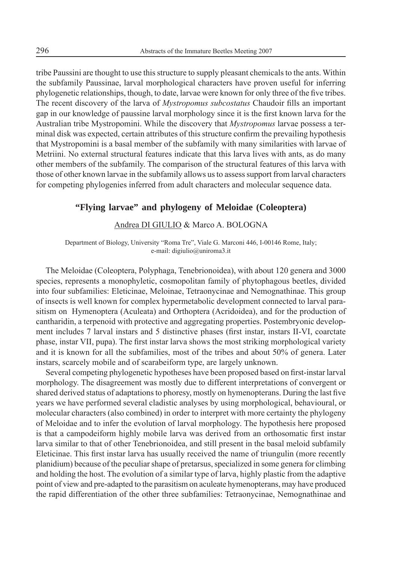tribe Paussini are thought to use this structure to supply pleasant chemicals to the ants. Within the subfamily Paussinae, larval morphological characters have proven useful for inferring phylogenetic relationships, though, to date, larvae were known for only three of the five tribes. The recent discovery of the larva of *Mystropomus subcostatus* Chaudoir fills an important gap in our knowledge of paussine larval morphology since it is the first known larva for the Australian tribe Mystropomini. While the discovery that *Mystropomus* larvae possess a terminal disk was expected, certain attributes of this structure confirm the prevailing hypothesis that Mystropomini is a basal member of the subfamily with many similarities with larvae of Metriini. No external structural features indicate that this larva lives with ants, as do many other members of the subfamily. The comparison of the structural features of this larva with those of other known larvae in the subfamily allows us to assess support from larval characters for competing phylogenies inferred from adult characters and molecular sequence data.

# **"Flying larvae" and phylogeny of Meloidae (Coleoptera)**

#### Andrea DI GIULIO & Marco A. BOLOGNA

Department of Biology, University "Roma Tre", Viale G. Marconi 446, I-00146 Rome, Italy; e-mail: digiulio@uniroma3.it

The Meloidae (Coleoptera, Polyphaga, Tenebrionoidea), with about 120 genera and 3000 species, represents a monophyletic, cosmopolitan family of phytophagous beetles, divided into four subfamilies: Eleticinae, Meloinae, Tetraonycinae and Nemognathinae. This group of insects is well known for complex hypermetabolic development connected to larval parasitism on Hymenoptera (Aculeata) and Orthoptera (Acridoidea), and for the production of cantharidin, a terpenoid with protective and aggregating properties. Postembryonic development includes 7 larval instars and 5 distinctive phases (first instar, instars II-VI, coarctate phase, instar VII, pupa). The first instar larva shows the most striking morphological variety and it is known for all the subfamilies, most of the tribes and about 50% of genera. Later instars, scarcely mobile and of scarabeiform type, are largely unknown.

Several competing phylogenetic hypotheses have been proposed based on first-instar larval morphology. The disagreement was mostly due to different interpretations of convergent or shared derived status of adaptations to phoresy, mostly on hymenopterans. During the last five years we have performed several cladistic analyses by using morphological, behavioural, or molecular characters (also combined) in order to interpret with more certainty the phylogeny of Meloidae and to infer the evolution of larval morphology. The hypothesis here proposed is that a campodeiform highly mobile larva was derived from an orthosomatic first instar larva similar to that of other Tenebrionoidea, and still present in the basal meloid subfamily Eleticinae. This first instar larva has usually received the name of triungulin (more recently planidium) because of the peculiar shape of pretarsus, specialized in some genera for climbing and holding the host. The evolution of a similar type of larva, highly plastic from the adaptive point of view and pre-adapted to the parasitism on aculeate hymenopterans, may have produced the rapid differentiation of the other three subfamilies: Tetraonycinae, Nemognathinae and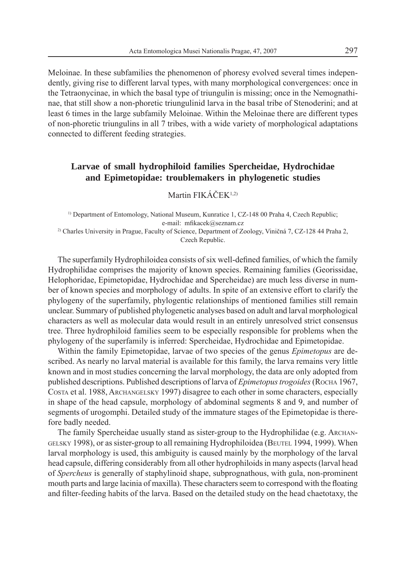Meloinae. In these subfamilies the phenomenon of phoresy evolved several times independently, giving rise to different larval types, with many morphological convergences: once in the Tetraonycinae, in which the basal type of triungulin is missing; once in the Nemognathinae, that still show a non-phoretic triungulinid larva in the basal tribe of Stenoderini; and at least 6 times in the large subfamily Meloinae. Within the Meloinae there are different types of non-phoretic triungulins in all 7 tribes, with a wide variety of morphological adaptations connected to different feeding strategies.

# **Larvae of small hydrophiloid families Spercheidae, Hydrochidae and Epimetopidae: troublemakers in phylogenetic studies**

# Martin FIKÁČEK1,2)

<sup>1)</sup> Department of Entomology, National Museum, Kunratice 1, CZ-148 00 Praha 4, Czech Republic; e-mail: mfikacek@seznam.cz 2) Charles University in Prague, Faculty of Science, Department of Zoology, Viničná 7, CZ-128 44 Praha 2, Czech Republic.

The superfamily Hydrophiloidea consists of six well-defined families, of which the family Hydrophilidae comprises the majority of known species. Remaining families (Georissidae, Helophoridae, Epimetopidae, Hydrochidae and Spercheidae) are much less diverse in number of known species and morphology of adults. In spite of an extensive effort to clarify the phylogeny of the superfamily, phylogentic relationships of mentioned families still remain unclear. Summary of published phylogenetic analyses based on adult and larval morphological characters as well as molecular data would result in an entirely unresolved strict consensus tree. Three hydrophiloid families seem to be especially responsible for problems when the phylogeny of the superfamily is inferred: Spercheidae, Hydrochidae and Epimetopidae.

Within the family Epimetopidae, larvae of two species of the genus *Epimetopus* are described. As nearly no larval material is available for this family, the larva remains very little known and in most studies concerning the larval morphology, the data are only adopted from published descriptions. Published descriptions of larva of *Epimetopus trogoides* (ROCHA 1967, COSTA et al. 1988, ARCHANGELSKY 1997) disagree to each other in some characters, especially in shape of the head capsule, morphology of abdominal segments 8 and 9, and number of segments of urogomphi. Detailed study of the immature stages of the Epimetopidae is therefore badly needed.

The family Spercheidae usually stand as sister-group to the Hydrophilidae (e.g. ARCHAN-GELSKY 1998), or as sister-group to all remaining Hydrophiloidea (BEUTEL 1994, 1999). When larval morphology is used, this ambiguity is caused mainly by the morphology of the larval head capsule, differing considerably from all other hydrophiloids in many aspects (larval head of *Spercheus* is generally of staphylinoid shape, subprognathous, with gula, non-prominent mouth parts and large lacinia of maxilla). These characters seem to correspond with the floating and filter-feeding habits of the larva. Based on the detailed study on the head chaetotaxy, the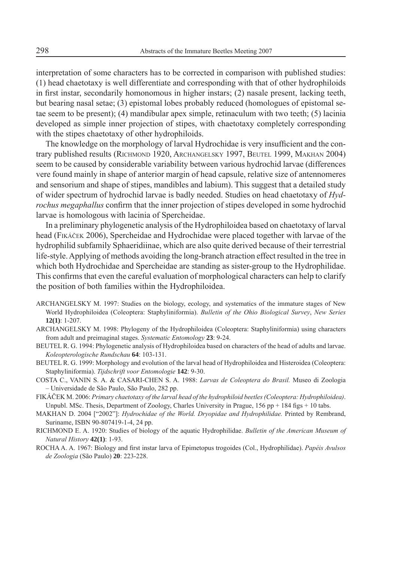interpretation of some characters has to be corrected in comparison with published studies: (1) head chaetotaxy is well differentiate and corresponding with that of other hydrophiloids in first instar, secondarily homonomous in higher instars;  $(2)$  nasale present, lacking teeth, but bearing nasal setae; (3) epistomal lobes probably reduced (homologues of epistomal setae seem to be present); (4) mandibular apex simple, retinaculum with two teeth; (5) lacinia developed as simple inner projection of stipes, with chaetotaxy completely corresponding with the stipes chaetotaxy of other hydrophiloids.

The knowledge on the morphology of larval Hydrochidae is very insufficient and the contrary published results (RICHMOND 1920, ARCHANGELSKY 1997, BEUTEL 1999, MAKHAN 2004) seem to be caused by considerable variability between various hydrochid larvae (differences vere found mainly in shape of anterior margin of head capsule, relative size of antennomeres and sensorium and shape of stipes, mandibles and labium). This suggest that a detailed study of wider spectrum of hydrochid larvae is badly needed. Studies on head chaetotaxy of *Hydrochus megaphallus* confirm that the inner projection of stipes developed in some hydrochid larvae is homologous with lacinia of Spercheidae.

In a preliminary phylogenetic analysis of the Hydrophiloidea based on chaetotaxy of larval head (FIKÁČEK 2006), Spercheidae and Hydrochidae were placed together with larvae of the hydrophilid subfamily Sphaeridiinae, which are also quite derived because of their terrestrial life-style. Applying of methods avoiding the long-branch atraction effect resulted in the tree in which both Hydrochidae and Spercheidae are standing as sister-group to the Hydrophilidae. This confirms that even the careful evaluation of morphological characters can help to clarify the position of both families within the Hydrophiloidea.

- ARCHANGELSKY M. 1997: Studies on the biology, ecology, and systematics of the immature stages of New World Hydrophiloidea (Coleoptera: Staphyliniformia). *Bulletin of the Ohio Biological Survey*, *New Series*  **12(1)**: 1-207.
- ARCHANGELSKY M. 1998: Phylogeny of the Hydrophiloidea (Coleoptera: Staphyliniformia) using characters from adult and preimaginal stages. *Systematic Entomology* **23**: 9-24.
- BEUTEL R. G. 1994: Phylogenetic analysis of Hydrophiloidea based on characters of the head of adults and larvae. *Koleopterologische Rundschau* **64**: 103-131.
- BEUTEL R. G. 1999: Morphology and evolution of the larval head of Hydrophiloidea and Histeroidea (Coleoptera: Staphyliniformia). *Tijdschrift voor Entomologie* **142**: 9-30.
- COSTA C., VANIN S. A. & CASARI-CHEN S. A. 1988: *Larvas de Coleoptera do Brasil.* Museo di Zoologia – Universidade de São Paulo, São Paulo, 282 pp.
- FIKÁČEK M. 2006: *Primary chaetotaxy of the larval head of the hydrophiloid beetles (Coleoptera: Hydrophiloidea)*. Unpubl. MSc. Thesis, Department of Zoology, Charles University in Prague,  $156$  pp  $+ 184$  figs  $+ 10$  tabs.
- MAKHAN D. 2004 ["2002"]: *Hydrochidae of the World. Dryopidae and Hydrophilidae.* Printed by Rembrand, Suriname, ISBN 90-807419-1-4, 24 pp.
- RICHMOND E. A. 1920: Studies of biology of the aquatic Hydrophilidae. *Bulletin of the American Museum of Natural History* **42(1)**: 1-93.
- ROCHA A. A. 1967: Biology and first instar larva of Epimetopus trogoides (Col., Hydrophilidae). *Papéis Avulsos de Zoologia* (São Paulo) **20**: 223-228.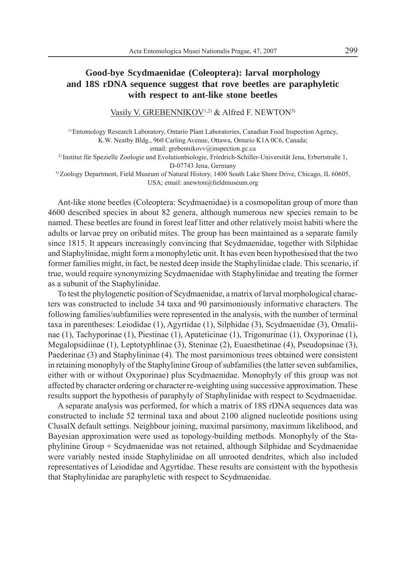# **Good-bye Scydmaenidae (Coleoptera): larval morphology and 18S rDNA sequence suggest that rove beetles are paraphyletic with respect to ant-like stone beetles**

Vasily V. GREBENNIKOV<sup>1,2)</sup> & Alfred F. NEWTON<sup>3)</sup>

1) Entomology Research Laboratory, Ontario Plant Laboratories, Canadian Food Inspection Agency, K.W. Neatby Bldg., 960 Carling Avenue, Ottawa, Ontario K1A 0C6, Canada; email: grebennikovv@inspection.gc.ca 2) Institut für Spezielle Zoologie und Evolutionbiologie, Friedrich-Schiller-Universität Jena, Erbertstraße 1, D-07743 Jena, Germany 3) Zoology Department, Field Museum of Natural History, 1400 South Lake Shore Drive, Chicago, IL 60605, USA; email: anewton@fieldmuseum.org

Ant-like stone beetles (Coleoptera: Scydmaenidae) is a cosmopolitan group of more than 4600 described species in about 82 genera, although numerous new species remain to be named. These beetles are found in forest leaf litter and other relatively moist habiti where the adults or larvae prey on oribatid mites. The group has been maintained as a separate family since 1815. It appears increasingly convincing that Scydmaenidae, together with Silphidae and Staphylinidae, might form a monophyletic unit. It has even been hypothesised that the two former families might, in fact, be nested deep inside the Staphylinidae clade. This scenario, if true, would require synonymizing Scydmaenidae with Staphylinidae and treating the former as a subunit of the Staphylinidae.

To test the phylogenetic position of Scydmaenidae, a matrix of larval morphological characters was constructed to include 34 taxa and 90 parsimoniously informative characters. The following families/subfamilies were represented in the analysis, with the number of terminal taxa in parentheses: Leiodidae (1), Agyrtidae (1), Silphidae (3), Scydmaenidae (3), Omaliinae (1), Tachyporinae (1), Piestinae (1), Apateticinae (1), Trigonurinae (1), Oxyporinae (1), Megalopsidiinae (1), Leptotyphlinae (3), Steninae (2), Euaesthetinae (4), Pseudopsinae (3), Paederinae (3) and Staphylininae (4). The most parsimonious trees obtained were consistent in retaining monophyly of the Staphylinine Group of subfamilies (the latter seven subfamilies, either with or without Oxyporinae) plus Scydmaenidae. Monophyly of this group was not affected by character ordering or character re-weighting using successive approximation. These results support the hypothesis of paraphyly of Staphylinidae with respect to Scydmaenidae.

A separate analysis was performed, for which a matrix of 18S rDNA sequences data was constructed to include 52 terminal taxa and about 2100 aligned nucleotide positions using ClusalX default settings. Neighbour joining, maximal parsimony, maximum likelihood, and Bayesian approximation were used as topology-building methods. Monophyly of the Staphylinine Group + Scydmaenidae was not retained, although Silphidae and Scydmaenidae were variably nested inside Staphylinidae on all unrooted dendrites, which also included representatives of Leiodidae and Agyrtidae. These results are consistent with the hypothesis that Staphylinidae are paraphyletic with respect to Scydmaenidae.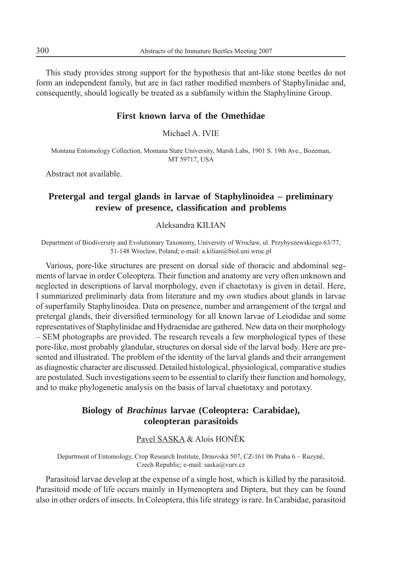This study provides strong support for the hypothesis that ant-like stone beetles do not form an independent family, but are in fact rather modified members of Staphylinidae and, consequently, should logically be treated as a subfamily within the Staphylinine Group.

#### **First known larva of the Omethidae**

Michael A. IVIE

Montana Entomology Collection, Montana State University, Marsh Labs, 1901 S. 19th Ave., Bozeman, MT 59717, USA

Abstract not available.

# **Pretergal and tergal glands in larvae of Staphylinoidea – preliminary review of presence, classifi cation and problems**

# Aleksandra KILIAN

Department of Biodiversity and Evolutionary Taxonomy, University of Wroclaw, ul. Przybyszewskiego 63/77, 51-148 Wroclaw, Poland; e-mail: a.kilian@biol.uni.wroc.pl

Various, pore-like structures are present on dorsal side of thoracic and abdominal segments of larvae in order Coleoptera. Their function and anatomy are very often unknown and neglected in descriptions of larval morphology, even if chaetotaxy is given in detail. Here, I summarized preliminarly data from literature and my own studies about glands in larvae of superfamily Staphylinoidea. Data on presence, number and arrangement of the tergal and pretergal glands, their diversified terminology for all known larvae of Leiodidae and some representatives of Staphylinidae and Hydraenidae are gathered. New data on their morphology – SEM photographs are provided. The research reveals a few morphological types of these pore-like, most probably glandular, structures on dorsal side of the larval body. Here are presented and illustrated. The problem of the identity of the larval glands and their arrangement as diagnostic character are discussed. Detailed histological, physiological, comparative studies are postulated. Such investigations seem to be essential to clarify their function and homology, and to make phylogenetic analysis on the basis of larval chaetotaxy and porotaxy.

# **Biology of** *Brachinus* **larvae (Coleoptera: Carabidae), coleopteran parasitoids**

#### Pavel SASKA & Alois HONĚK

Department of Entomology, Crop Research Institute, Drnovská 507, CZ-161 06 Praha 6 – Ruzyně, Czech Republic; e-mail: saska@vurv.cz

Parasitoid larvae develop at the expense of a single host, which is killed by the parasitoid. Parasitoid mode of life occurs mainly in Hymenoptera and Diptera, but they can be found also in other orders of insects. In Coleoptera, this life strategy is rare. In Carabidae, parasitoid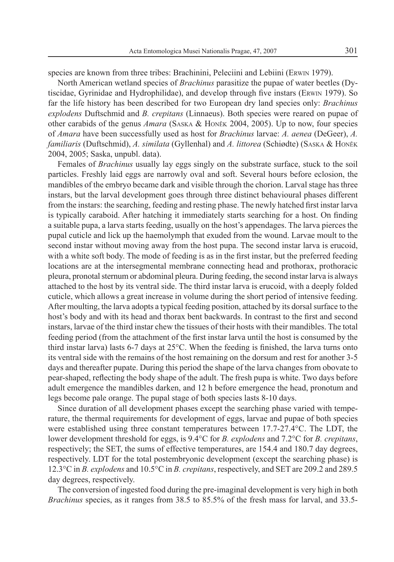species are known from three tribes: Brachinini, Peleciini and Lebiini (ERWIN 1979).

North American wetland species of *Brachinus* parasitize the pupae of water beetles (Dytiscidae, Gyrinidae and Hydrophilidae), and develop through five instars (ERWIN 1979). So far the life history has been described for two European dry land species only: *Brachinus explodens* Duftschmid and *B. crepitans* (Linnaeus). Both species were reared on pupae of other carabids of the genus *Amara* (SASKA & HONĚK 2004, 2005). Up to now, four species of *Amara* have been successfully used as host for *Brachinus* larvae: *A. aenea* (DeGeer), *A. familiaris* (Duftschmid), *A. similata* (Gyllenhal) and *A. littorea* (Schiødte) (SASKA & HONĚ<sup>K</sup> 2004, 2005; Saska, unpubl. data).

Females of *Brachinus* usually lay eggs singly on the substrate surface, stuck to the soil particles. Freshly laid eggs are narrowly oval and soft. Several hours before eclosion, the mandibles of the embryo became dark and visible through the chorion. Larval stage has three instars, but the larval development goes through three distinct behavioural phases different from the instars: the searching, feeding and resting phase. The newly hatched first instar larva is typically caraboid. After hatching it immediately starts searching for a host. On finding a suitable pupa, a larva starts feeding, usually on the host's appendages. The larva pierces the pupal cuticle and lick up the haemolymph that exuded from the wound. Larvae moult to the second instar without moving away from the host pupa. The second instar larva is erucoid, with a white soft body. The mode of feeding is as in the first instar, but the preferred feeding locations are at the intersegmental membrane connecting head and prothorax, prothoracic pleura, pronotal sternum or abdominal pleura. During feeding, the second instar larva is always attached to the host by its ventral side. The third instar larva is erucoid, with a deeply folded cuticle, which allows a great increase in volume during the short period of intensive feeding. After moulting, the larva adopts a typical feeding position, attached by its dorsal surface to the host's body and with its head and thorax bent backwards. In contrast to the first and second instars, larvae of the third instar chew the tissues of their hosts with their mandibles. The total feeding period (from the attachment of the first instar larva until the host is consumed by the third instar larva) lasts 6-7 days at  $25^{\circ}$ C. When the feeding is finished, the larva turns onto its ventral side with the remains of the host remaining on the dorsum and rest for another 3-5 days and thereafter pupate. During this period the shape of the larva changes from obovate to pear-shaped, reflecting the body shape of the adult. The fresh pupa is white. Two days before adult emergence the mandibles darken, and 12 h before emergence the head, pronotum and legs become pale orange. The pupal stage of both species lasts 8-10 days.

Since duration of all development phases except the searching phase varied with temperature, the thermal requirements for development of eggs, larvae and pupae of both species were established using three constant temperatures between 17.7-27.4°C. The LDT, the lower development threshold for eggs, is 9.4°C for *B. explodens* and 7.2°C for *B. crepitans*, respectively; the SET, the sums of effective temperatures, are 154.4 and 180.7 day degrees, respectively. LDT for the total postembryonic development (except the searching phase) is 12.3°C in *B. explodens* and 10.5°C in *B. crepitans*, respectively, and SET are 209.2 and 289.5 day degrees, respectively.

The conversion of ingested food during the pre-imaginal development is very high in both *Brachinus* species, as it ranges from 38.5 to 85.5% of the fresh mass for larval, and 33.5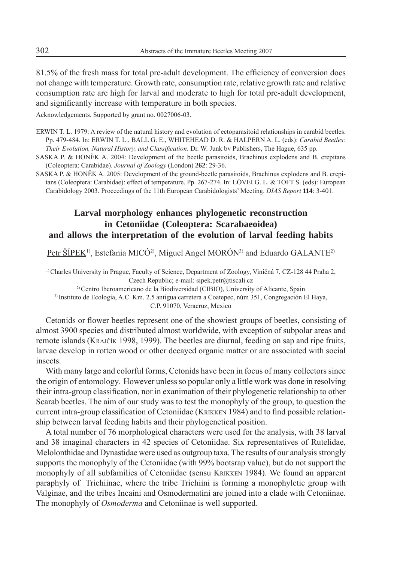81.5% of the fresh mass for total pre-adult development. The efficiency of conversion does not change with temperature. Growth rate, consumption rate, relative growth rate and relative consumption rate are high for larval and moderate to high for total pre-adult development, and significantly increase with temperature in both species.

Acknowledgements. Supported by grant no. 0027006-03.

- ERWIN T. L. 1979: A review of the natural history and evolution of ectoparasitoid relationships in carabid beetles. Pp. 479-484. In: ERWIN T. L., BALL G. E., WHITEHEAD D. R. & HALPERN A. L. (eds): *Carabid Beetles: Their Evolution, Natural History, and Classification*. Dr. W. Junk by Publishers, The Hague, 635 pp.
- SASKA P. & HONĚK A. 2004: Development of the beetle parasitoids, Brachinus explodens and B. crepitans (Coleoptera: Carabidae). *Journal of Zoology* (London) **262**: 29-36.
- SASKA P. & HONĚK A. 2005: Development of the ground-beetle parasitoids, Brachinus explodens and B. crepitans (Coleoptera: Carabidae): effect of temperature. Pp. 267-274. In: LÖVEI G. L. & TOFT S. (eds): European Carabidology 2003. Proceedings of the 11th European Carabidologists' Meeting. *DIAS Report* **114**: 3-401.

# **Larval morphology enhances phylogenetic reconstruction in Cetoniidae (Coleoptera: Scarabaeoidea) and allows the interpretation of the evolution of larval feeding habits**

Petr ŠÍPEK<sup>1)</sup>, Estefania MICÓ<sup>2)</sup>, Miguel Angel MORÓN<sup>3)</sup> and Eduardo GALANTE<sup>2)</sup>

<sup>1)</sup> Charles University in Prague, Faculty of Science, Department of Zoology, Viničná 7, CZ-128 44 Praha 2, Czech Republic; e-mail: sipek.petr@tiscali.cz 2) Centro Iberoamericano de la Biodiversidad (CIBIO), University of Alicante, Spain

3) Instituto de Ecología, A.C. Km. 2.5 antigua carretera a Coatepec, núm 351, Congregación El Haya,

C.P. 91070, Veracruz, Mexico

Cetonids or flower beetles represent one of the showiest groups of beetles, consisting of almost 3900 species and distributed almost worldwide, with exception of subpolar areas and remote islands (KRAJČÍK 1998, 1999). The beetles are diurnal, feeding on sap and ripe fruits, larvae develop in rotten wood or other decayed organic matter or are associated with social insects.

With many large and colorful forms, Cetonids have been in focus of many collectors since the origin of entomology. However unless so popular only a little work was done in resolving their intra-group classification, nor in exanimation of their phylogenetic relationship to other Scarab beetles. The aim of our study was to test the monophyly of the group, to question the current intra-group classification of Cetoniidae (KRIKKEN 1984) and to find possible relationship between larval feeding habits and their phylogenetical position.

A total number of 76 morphological characters were used for the analysis, with 38 larval and 38 imaginal characters in 42 species of Cetoniidae. Six representatives of Rutelidae, Melolonthidae and Dynastidae were used as outgroup taxa. The results of our analysis strongly supports the monophyly of the Cetoniidae (with 99% bootsrap value), but do not support the monophyly of all subfamilies of Cetoniidae (sensu KRIKKEN 1984). We found an apparent paraphyly of Trichiinae, where the tribe Trichiini is forming a monophyletic group with Valginae, and the tribes Incaini and Osmodermatini are joined into a clade with Cetoniinae. The monophyly of *Osmoderma* and Cetoniinae is well supported.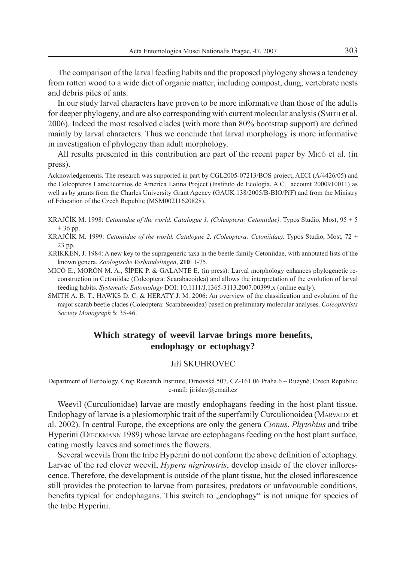The comparison of the larval feeding habits and the proposed phylogeny shows a tendency from rotten wood to a wide diet of organic matter, including compost, dung, vertebrate nests and debris piles of ants.

In our study larval characters have proven to be more informative than those of the adults for deeper phylogeny, and are also corresponding with current molecular analysis (SMITH et al. 2006). Indeed the most resolved clades (with more than 80% bootstrap support) are defined mainly by larval characters. Thus we conclude that larval morphology is more informative in investigation of phylogeny than adult morphology.

All results presented in this contribution are part of the recent paper by MICÓ et al. (in press).

Acknowledgements. The research was supported in part by CGL2005-07213/BOS project, AECI (A/4426/05) and the Coleopteros Lamelicornios de America Latina Project (Instituto de Ecologia, A.C. account 2000910011) as well as by grants from the Charles University Grant Agency (GAUK 138/2005/B-BIO/PřF) and from the Ministry of Education of the Czech Republic (MSM00211620828).

- KRAJČÍK M. 1998: *Cetoniidae of the world. Catalogue 1. (Coleoptera: Cetoniidae).* Typos Studio, Most, 95 + 5  $+36$  pp.
- KRAJČÍK M. 1999: *Cetoniidae of the world. Catalogue 2. (Coleoptera: Cetoniidae).* Typos Studio, Most, 72 + 23 pp.
- KRIKKEN, J. 1984: A new key to the suprageneric taxa in the beetle family Cetoniidae, with annotated lists of the known genera. *Zoologische Verhandelingen*, **210**: 1-75.
- MICÓ E., MORÓN M. A., ŠÍPEK P. & GALANTE E. (in press): Larval morphology enhances phylogenetic reconstruction in Cetoniidae (Coleoptera: Scarabaeoidea) and allows the interpretation of the evolution of larval feeding habits. *Systematic Entomology* DOI: 10.1111/J.1365-3113.2007.00399.x (online early).
- SMITH A. B. T., HAWKS D. C. & HERATY J. M. 2006: An overview of the classification and evolution of the major scarab beetle clades (Coleoptera: Scarabaeoidea) based on preliminary molecular analyses. *Coleopterists Society Monograph* **5**: 35-46.

# Which strategy of weevil larvae brings more benefits, **endophagy or ectophagy?**

#### Jiří SKUHROVEC

Department of Herbology, Crop Research Institute, Drnovská 507, CZ-161 06 Praha 6 – Ruzyně, Czech Republic; e-mail: jirislav@email.cz

Weevil (Curculionidae) larvae are mostly endophagans feeding in the host plant tissue. Endophagy of larvae is a plesiomorphic trait of the superfamily Curculionoidea (MARVALDI et al. 2002). In central Europe, the exceptions are only the genera *Cionus*, *Phytobius* and tribe Hyperini (DIECKMANN 1989) whose larvae are ectophagans feeding on the host plant surface, eating mostly leaves and sometimes the flowers.

Several weevils from the tribe Hyperini do not conform the above definition of ectophagy. Larvae of the red clover weevil, *Hypera nigrirostris*, develop inside of the clover inflorescence. Therefore, the development is outside of the plant tissue, but the closed inflorescence still provides the protection to larvae from parasites, predators or unfavourable conditions, benefits typical for endophagans. This switch to "endophagy" is not unique for species of the tribe Hyperini.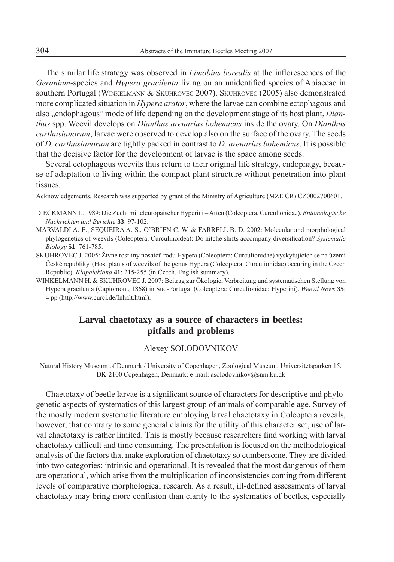The similar life strategy was observed in *Limobius borealis* at the inflorescences of the *Geranium*-species and *Hypera gracilenta* living on an unidentified species of Apiaceae in southern Portugal (WINKELMANN & SKUHROVEC 2007). SKUHROVEC (2005) also demonstrated more complicated situation in *Hypera arator*, where the larvae can combine ectophagous and also , endophagous" mode of life depending on the development stage of its host plant, *Dianthus* spp. Weevil develops on *Dianthus arenarius bohemicus* inside the ovary. On *Dianthus carthusianorum*, larvae were observed to develop also on the surface of the ovary. The seeds of *D. carthusianorum* are tightly packed in contrast to *D. arenarius bohemicus*. It is possible that the decisive factor for the development of larvae is the space among seeds.

Several ectophagous weevils thus return to their original life strategy, endophagy, because of adaptation to living within the compact plant structure without penetration into plant tissues.

Acknowledgements. Research was supported by grant of the Ministry of Agriculture (MZE ČR) CZ0002700601.

- DIECKMANN L. 1989: Die Zucht mitteleuropäischer Hyperini Arten (Coleoptera, Curculionidae). *Entomologische Nachrichten und Berichte* **33**: 97-102.
- MARVALDI A. E., SEQUEIRA A. S., O'BRIEN C. W. & FARRELL B. D. 2002: Molecular and morphological phylogenetics of weevils (Coleoptera, Curculinoidea): Do nitche shifts accompany diversification? Systematic *Biology* **51**: 761-785.
- SKUHROVEC J. 2005: Živné rostliny nosatců rodu Hypera (Coleoptera: Curculionidae) vyskytujících se na území České republiky. (Host plants of weevils of the genus Hypera (Coleoptera: Curculionidae) occuring in the Czech Republic). *Klapalekiana* **41**: 215-255 (in Czech, English summary).
- WINKELMANN H. & SKUHROVEC J. 2007: Beitrag zur Ökologie, Verbreitung und systematischen Stellung von Hypera gracilenta (Capiomont, 1868) in Süd-Portugal (Coleoptera: Curculionidae: Hyperini). *Weevil News* **35**: 4 pp (http://www.curci.de/Inhalt.html).

# **Larval chaetotaxy as a source of characters in beetles: pitfalls and problems**

#### Alexey SOLODOVNIKOV

Natural History Museum of Denmark / University of Copenhagen, Zoological Museum, Universitetsparken 15, DK-2100 Copenhagen, Denmark; e-mail: asolodovnikov@snm.ku.dk

Chaetotaxy of beetle larvae is a significant source of characters for descriptive and phylogenetic aspects of systematics of this largest group of animals of comparable age. Survey of the mostly modern systematic literature employing larval chaetotaxy in Coleoptera reveals, however, that contrary to some general claims for the utility of this character set, use of larval chaetotaxy is rather limited. This is mostly because researchers find working with larval chaetotaxy difficult and time consuming. The presentation is focused on the methodological analysis of the factors that make exploration of chaetotaxy so cumbersome. They are divided into two categories: intrinsic and operational. It is revealed that the most dangerous of them are operational, which arise from the multiplication of inconsistencies coming from different levels of comparative morphological research. As a result, ill-defined assessments of larval chaetotaxy may bring more confusion than clarity to the systematics of beetles, especially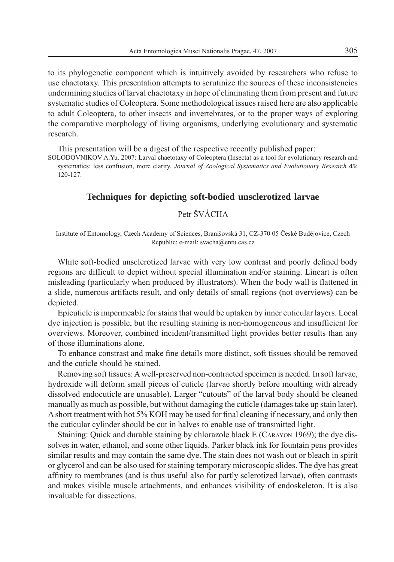to its phylogenetic component which is intuitively avoided by researchers who refuse to use chaetotaxy. This presentation attempts to scrutinize the sources of these inconsistencies undermining studies of larval chaetotaxy in hope of eliminating them from present and future systematic studies of Coleoptera. Some methodological issues raised here are also applicable to adult Coleoptera, to other insects and invertebrates, or to the proper ways of exploring the comparative morphology of living organisms, underlying evolutionary and systematic research.

This presentation will be a digest of the respective recently published paper:

SOLODOVNIKOV A.Yu. 2007: Larval chaetotaxy of Coleoptera (Insecta) as a tool for evolutionary research and systematics: less confusion, more clarity. *Journal of Zoological Systematics and Evolutionary Research* **45**: 120-127.

#### **Techniques for depicting soft-bodied unsclerotized larvae**

# Petr ŠVÁCHA

Institute of Entomology, Czech Academy of Sciences, Branišovská 31, CZ-370 05 České Budějovice, Czech Republic; e-mail: svacha@entu.cas.cz

White soft-bodied unsclerotized larvae with very low contrast and poorly defined body regions are difficult to depict without special illumination and/or staining. Lineart is often misleading (particularly when produced by illustrators). When the body wall is flattened in a slide, numerous artifacts result, and only details of small regions (not overviews) can be depicted.

Epicuticle is impermeable for stains that would be uptaken by inner cuticular layers. Local dye injection is possible, but the resulting staining is non-homogeneous and insufficient for overviews. Moreover, combined incident/transmitted light provides better results than any of those illuminations alone.

To enhance constrast and make fine details more distinct, soft tissues should be removed and the cuticle should be stained.

Removing soft tissues: A well-preserved non-contracted specimen is needed. In soft larvae, hydroxide will deform small pieces of cuticle (larvae shortly before moulting with already dissolved endocuticle are unusable). Larger "cutouts" of the larval body should be cleaned manually as much as possible, but without damaging the cuticle (damages take up stain later). A short treatment with hot 5% KOH may be used for final cleaning if necessary, and only then the cuticular cylinder should be cut in halves to enable use of transmitted light.

Staining: Quick and durable staining by chlorazole black E (CARAYON 1969); the dye dissolves in water, ethanol, and some other liquids. Parker black ink for fountain pens provides similar results and may contain the same dye. The stain does not wash out or bleach in spirit or glycerol and can be also used for staining temporary microscopic slides. The dye has great affinity to membranes (and is thus useful also for partly sclerotized larvae), often contrasts and makes visible muscle attachments, and enhances visibility of endoskeleton. It is also invaluable for dissections.